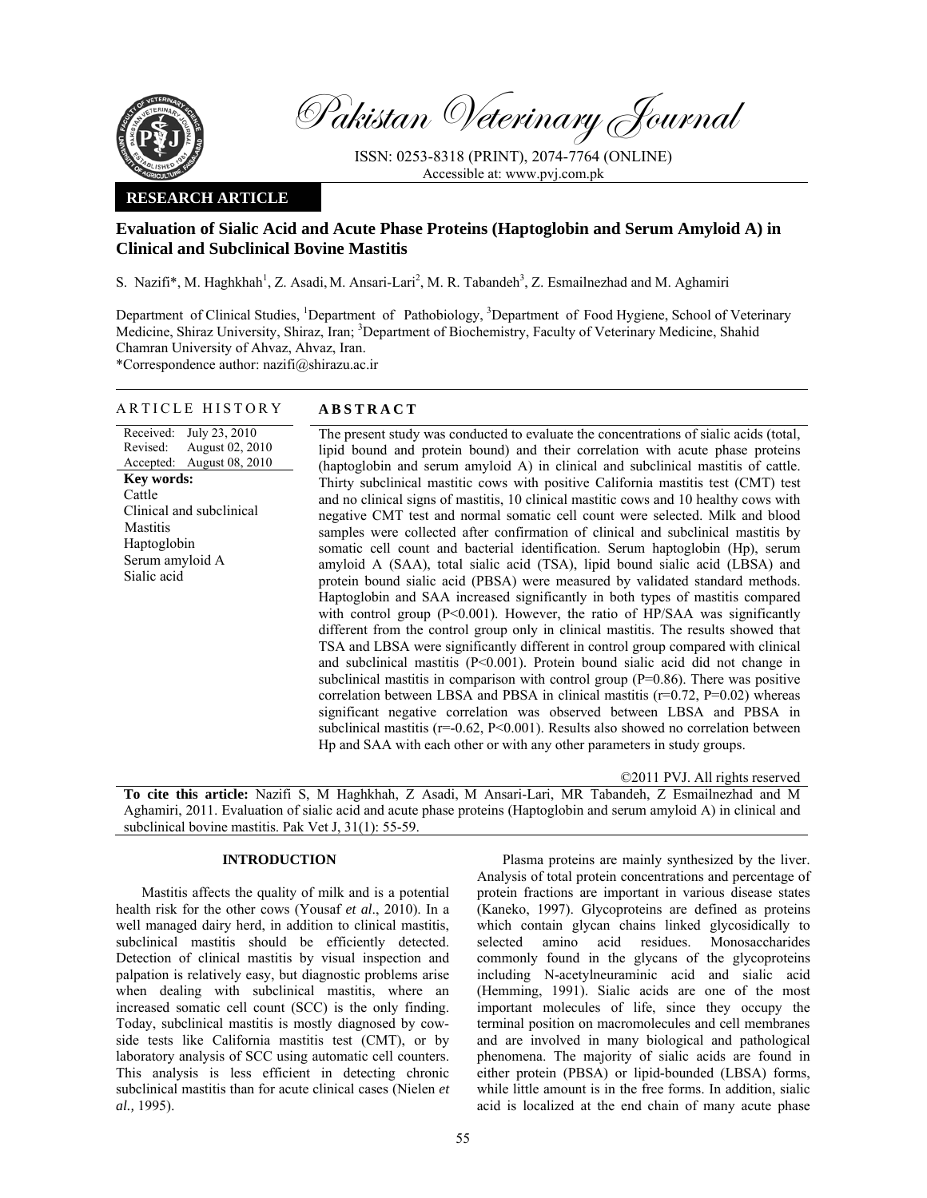

Pakistan Veterinary Journal

ISSN: 0253-8318 (PRINT), 2074-7764 (ONLINE) Accessible at: www.pvj.com.pk

### **RESEARCH ARTICLE**

# **Evaluation of Sialic Acid and Acute Phase Proteins (Haptoglobin and Serum Amyloid A) in Clinical and Subclinical Bovine Mastitis**

S. Nazifi\*, M. Haghkhah<sup>1</sup>, Z. Asadi, M. Ansari-Lari<sup>2</sup>, M. R. Tabandeh<sup>3</sup>, Z. Esmailnezhad and M. Aghamiri

Department of Clinical Studies, <sup>1</sup>Department of Pathobiology, <sup>3</sup>Department of Food Hygiene, School of Veterinary Medicine, Shiraz University, Shiraz, Iran; <sup>3</sup>Department of Biochemistry, Faculty of Veterinary Medicine, Shahid Chamran University of Ahvaz, Ahvaz, Iran.

\*Correspondence author: nazifi@shirazu.ac.ir

## ARTICLE HISTORY **ABSTRACT**

Received: Revised: Accepted: July 23, 2010 August 02, 2010 August 08, 2010 **Key words:**  Cattle Clinical and subclinical Mastitis Haptoglobin Serum amyloid A Sialic acid

The present study was conducted to evaluate the concentrations of sialic acids (total, lipid bound and protein bound) and their correlation with acute phase proteins (haptoglobin and serum amyloid A) in clinical and subclinical mastitis of cattle. Thirty subclinical mastitic cows with positive California mastitis test (CMT) test and no clinical signs of mastitis, 10 clinical mastitic cows and 10 healthy cows with negative CMT test and normal somatic cell count were selected. Milk and blood samples were collected after confirmation of clinical and subclinical mastitis by somatic cell count and bacterial identification. Serum haptoglobin (Hp), serum amyloid A (SAA), total sialic acid (TSA), lipid bound sialic acid (LBSA) and protein bound sialic acid (PBSA) were measured by validated standard methods. Haptoglobin and SAA increased significantly in both types of mastitis compared with control group (P<0.001). However, the ratio of HP/SAA was significantly different from the control group only in clinical mastitis. The results showed that TSA and LBSA were significantly different in control group compared with clinical and subclinical mastitis  $(P< 0.001)$ . Protein bound sialic acid did not change in subclinical mastitis in comparison with control group (P=0.86). There was positive correlation between LBSA and PBSA in clinical mastitis  $(r=0.72, P=0.02)$  whereas significant negative correlation was observed between LBSA and PBSA in subclinical mastitis ( $r=0.62$ ,  $P<0.001$ ). Results also showed no correlation between Hp and SAA with each other or with any other parameters in study groups.

©2011 PVJ. All rights reserved **To cite this article:** Nazifi S, M Haghkhah, Z Asadi, M Ansari-Lari, MR Tabandeh, Z Esmailnezhad and M Aghamiri, 2011. Evaluation of sialic acid and acute phase proteins (Haptoglobin and serum amyloid A) in clinical and subclinical bovine mastitis. Pak Vet J, 31(1): 55-59.

## **INTRODUCTION**

 Mastitis affects the quality of milk and is a potential health risk for the other cows (Yousaf *et al*., 2010). In a well managed dairy herd, in addition to clinical mastitis, subclinical mastitis should be efficiently detected. Detection of clinical mastitis by visual inspection and palpation is relatively easy, but diagnostic problems arise when dealing with subclinical mastitis, where an increased somatic cell count (SCC) is the only finding. Today, subclinical mastitis is mostly diagnosed by cowside tests like California mastitis test (CMT), or by laboratory analysis of SCC using automatic cell counters. This analysis is less efficient in detecting chronic subclinical mastitis than for acute clinical cases (Nielen *et al.,* 1995).

 Plasma proteins are mainly synthesized by the liver. Analysis of total protein concentrations and percentage of protein fractions are important in various disease states (Kaneko, 1997). Glycoproteins are defined as proteins which contain glycan chains linked glycosidically to selected amino acid residues. Monosaccharides commonly found in the glycans of the glycoproteins including N-acetylneuraminic acid and sialic acid (Hemming, 1991). Sialic acids are one of the most important molecules of life, since they occupy the terminal position on macromolecules and cell membranes and are involved in many biological and pathological phenomena. The majority of sialic acids are found in either protein (PBSA) or lipid-bounded (LBSA) forms, while little amount is in the free forms. In addition, sialic acid is localized at the end chain of many acute phase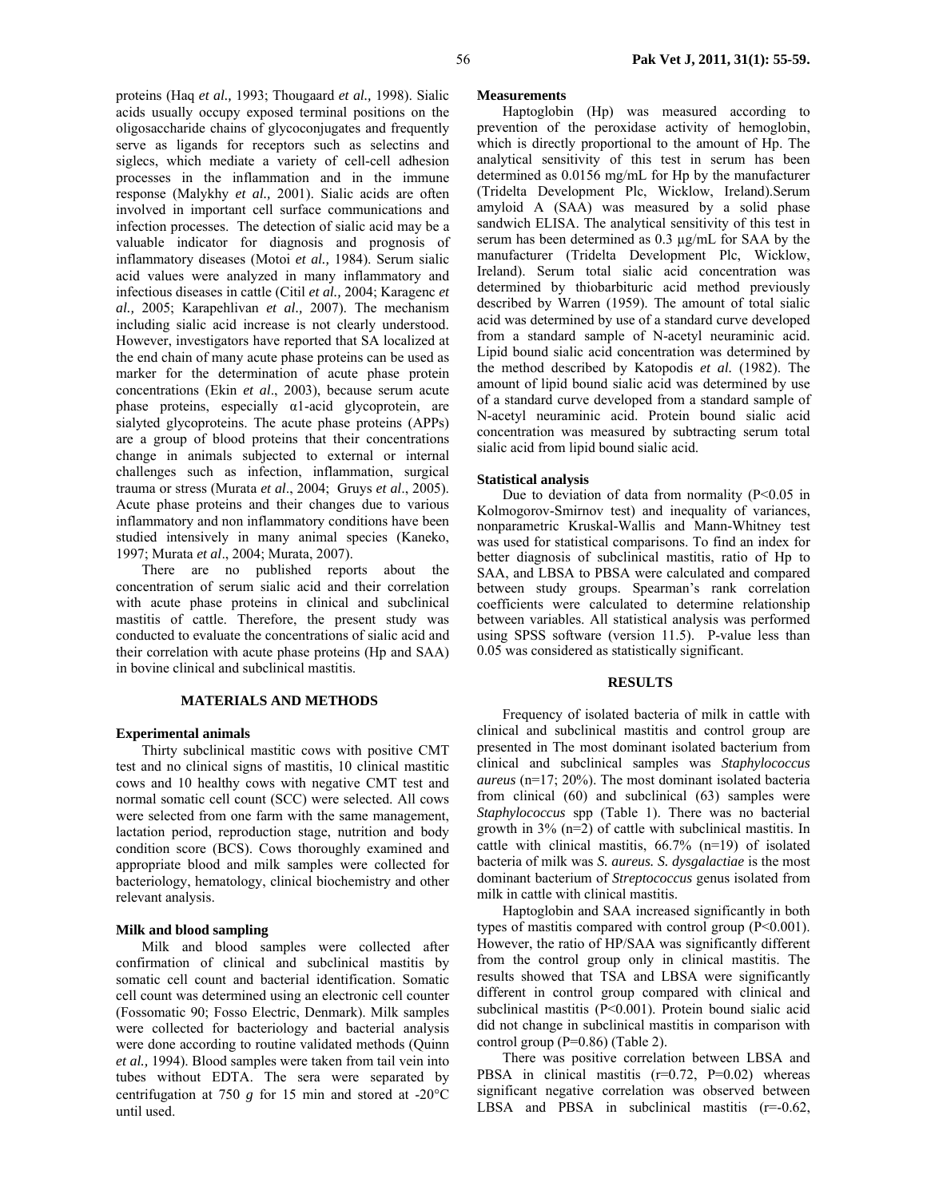proteins (Haq *et al.,* 1993; Thougaard *et al.,* 1998). Sialic acids usually occupy exposed terminal positions on the oligosaccharide chains of glycoconjugates and frequently serve as ligands for receptors such as selectins and siglecs, which mediate a variety of cell-cell adhesion processes in the inflammation and in the immune response (Malykhy *et al.,* 2001). Sialic acids are often involved in important cell surface communications and infection processes. The detection of sialic acid may be a valuable indicator for diagnosis and prognosis of inflammatory diseases (Motoi *et al.,* 1984). Serum sialic acid values were analyzed in many inflammatory and infectious diseases in cattle (Citil *et al.,* 2004; Karagenc *et al.,* 2005; Karapehlivan *et al.,* 2007). The mechanism including sialic acid increase is not clearly understood. However, investigators have reported that SA localized at the end chain of many acute phase proteins can be used as marker for the determination of acute phase protein concentrations (Ekin *et al*., 2003), because serum acute phase proteins, especially α1-acid glycoprotein, are sialyted glycoproteins. The acute phase proteins (APPs) are a group of blood proteins that their concentrations change in animals subjected to external or internal challenges such as infection, inflammation, surgical trauma or stress (Murata *et al*., 2004; Gruys *et al*., 2005). Acute phase proteins and their changes due to various inflammatory and non inflammatory conditions have been studied intensively in many animal species (Kaneko, 1997; Murata *et al*., 2004; Murata, 2007).

 There are no published reports about the concentration of serum sialic acid and their correlation with acute phase proteins in clinical and subclinical mastitis of cattle. Therefore, the present study was conducted to evaluate the concentrations of sialic acid and their correlation with acute phase proteins (Hp and SAA) in bovine clinical and subclinical mastitis.

## **MATERIALS AND METHODS**

#### **Experimental animals**

 Thirty subclinical mastitic cows with positive CMT test and no clinical signs of mastitis, 10 clinical mastitic cows and 10 healthy cows with negative CMT test and normal somatic cell count (SCC) were selected. All cows were selected from one farm with the same management, lactation period, reproduction stage, nutrition and body condition score (BCS). Cows thoroughly examined and appropriate blood and milk samples were collected for bacteriology, hematology, clinical biochemistry and other relevant analysis.

#### **Milk and blood sampling**

Milk and blood samples were collected after confirmation of clinical and subclinical mastitis by somatic cell count and bacterial identification. Somatic cell count was determined using an electronic cell counter (Fossomatic 90; Fosso Electric, Denmark). Milk samples were collected for bacteriology and bacterial analysis were done according to routine validated methods (Quinn *et al.,* 1994). Blood samples were taken from tail vein into tubes without EDTA. The sera were separated by centrifugation at 750  $g$  for 15 min and stored at -20 $^{\circ}$ C until used.

### **Measurements**

 Haptoglobin (Hp) was measured according to prevention of the peroxidase activity of hemoglobin, which is directly proportional to the amount of Hp. The analytical sensitivity of this test in serum has been determined as 0.0156 mg/mL for Hp by the manufacturer (Tridelta Development Plc, Wicklow, Ireland).Serum amyloid A (SAA) was measured by a solid phase sandwich ELISA. The analytical sensitivity of this test in serum has been determined as 0.3 µg/mL for SAA by the manufacturer (Tridelta Development Plc, Wicklow, Ireland). Serum total sialic acid concentration was determined by thiobarbituric acid method previously described by Warren (1959). The amount of total sialic acid was determined by use of a standard curve developed from a standard sample of N-acetyl neuraminic acid. Lipid bound sialic acid concentration was determined by the method described by Katopodis *et al.* (1982). The amount of lipid bound sialic acid was determined by use of a standard curve developed from a standard sample of N-acetyl neuraminic acid. Protein bound sialic acid concentration was measured by subtracting serum total sialic acid from lipid bound sialic acid.

#### **Statistical analysis**

 Due to deviation of data from normality (P<0.05 in Kolmogorov-Smirnov test) and inequality of variances, nonparametric Kruskal-Wallis and Mann-Whitney test was used for statistical comparisons. To find an index for better diagnosis of subclinical mastitis, ratio of Hp to SAA, and LBSA to PBSA were calculated and compared between study groups. Spearman's rank correlation coefficients were calculated to determine relationship between variables. All statistical analysis was performed using SPSS software (version 11.5). P-value less than 0.05 was considered as statistically significant.

#### **RESULTS**

 Frequency of isolated bacteria of milk in cattle with clinical and subclinical mastitis and control group are presented in The most dominant isolated bacterium from clinical and subclinical samples was *Staphylococcus aureus* (n=17; 20%). The most dominant isolated bacteria from clinical (60) and subclinical (63) samples were *Staphylococcus* spp (Table 1). There was no bacterial growth in 3% (n=2) of cattle with subclinical mastitis. In cattle with clinical mastitis, 66.7% (n=19) of isolated bacteria of milk was *S. aureus. S. dysgalactiae* is the most dominant bacterium of *Streptococcus* genus isolated from milk in cattle with clinical mastitis.

 Haptoglobin and SAA increased significantly in both types of mastitis compared with control group  $(P<0.001)$ . However, the ratio of HP/SAA was significantly different from the control group only in clinical mastitis. The results showed that TSA and LBSA were significantly different in control group compared with clinical and subclinical mastitis (P<0.001). Protein bound sialic acid did not change in subclinical mastitis in comparison with control group (P=0.86) (Table 2).

 There was positive correlation between LBSA and PBSA in clinical mastitis  $(r=0.72, P=0.02)$  whereas significant negative correlation was observed between LBSA and PBSA in subclinical mastitis  $(r=0.62)$ ,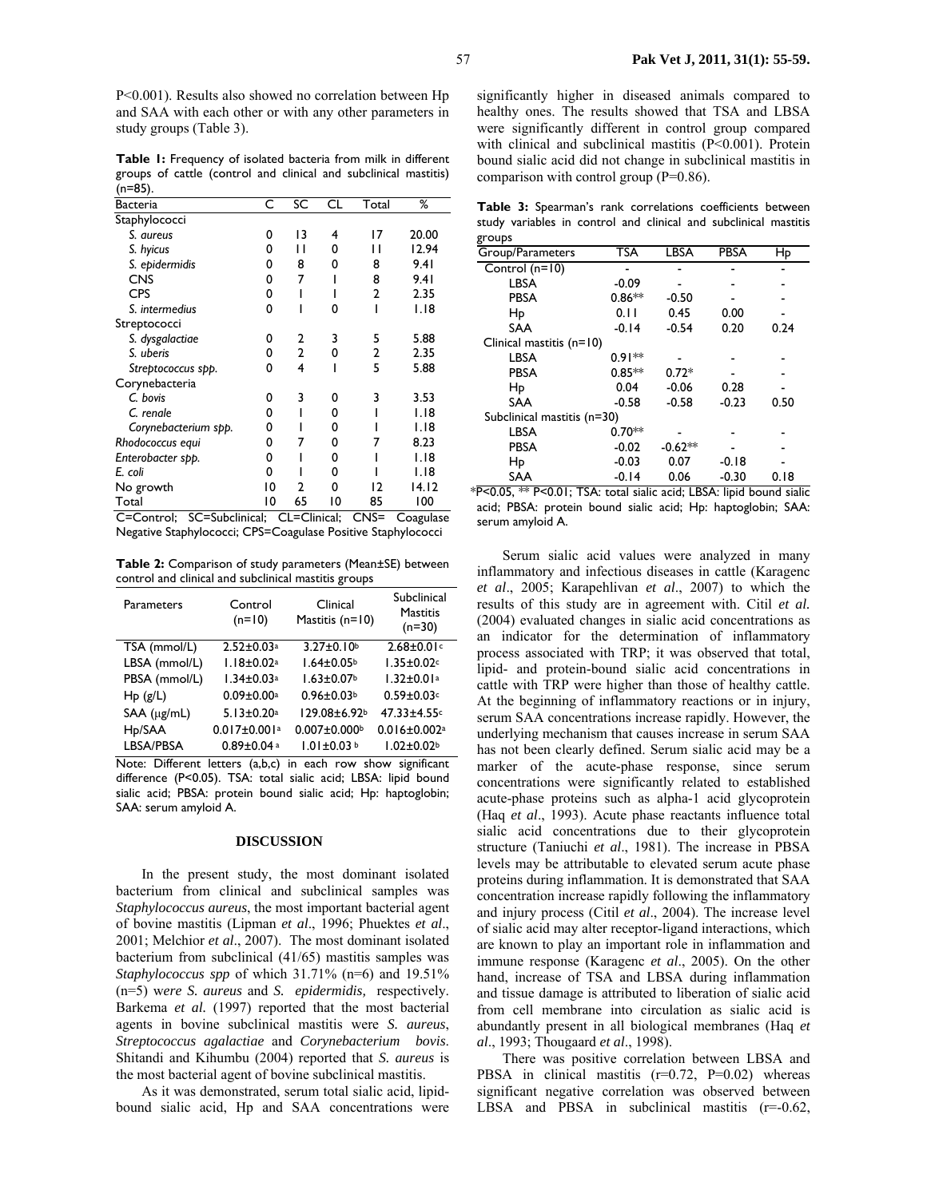**Table 1:** Frequency of isolated bacteria from milk in different groups of cattle (control and clinical and subclinical mastitis)  $(n=85)$ 

| <b>Bacteria</b>      | С  | SC | CL | Total | ℅     |
|----------------------|----|----|----|-------|-------|
| Staphylococci        |    |    |    |       |       |
| S. aureus            | n  | 13 | 4  | 17    | 20.00 |
| S. hyicus            | 0  | п  | 0  | ı ı   | 12.94 |
| S. epidermidis       | O  | 8  | n  | 8     | 9.4I  |
| <b>CNS</b>           | 0  | 7  |    | 8     | 9.41  |
| <b>CPS</b>           | 0  |    |    | 2     | 2.35  |
| S. intermedius       | O  |    | O  |       | 1.18  |
| Streptococci         |    |    |    |       |       |
| S. dysgalactiae      | o  | 2  | 3  | 5     | 5.88  |
| S. uberis            | n  | 2  | 0  | 2     | 2.35  |
| Streptococcus spp.   | n  | 4  |    | 5     | 5.88  |
| Corynebacteria       |    |    |    |       |       |
| C. bovis             | 0  | 3  | n  | 3     | 3.53  |
| C. renale            | n  |    | n  |       | I.I8  |
| Corynebacterium spp. | o  |    | 0  |       | I.I8  |
| Rhodococcus equi     | o  |    | 0  |       | 8.23  |
| Enterobacter spp.    | 0  |    | 0  |       | 1.18  |
| E. coli              | n  |    | n  |       | I.I8  |
| No growth            | 10 | 2  | 0  | 12    | 14.12 |
| Total<br>--          | 10 | 65 | 10 | 85    | 100   |

C=Control; SC=Subclinical; CL=Clinical; CNS= Coagulase Negative Staphylococci; CPS=Coagulase Positive Staphylococci

**Table 2:** Comparison of study parameters (Mean±SE) between control and clinical and subclinical mastitis groups

| Parameters          | Control<br>$(n=10)$            | Clinical<br>Mastitis $(n=10)$ | Subclinical<br><b>Mastitis</b><br>$(n=30)$ |
|---------------------|--------------------------------|-------------------------------|--------------------------------------------|
| TSA (mmol/L)        | $2.52 \pm 0.03$ <sup>a</sup>   | $3.27 \pm 0.10$               | $2.68 \pm 0.01$ c                          |
| LBSA (mmol/L)       | $1.18 \pm 0.02$ <sup>a</sup>   | $1.64 \pm 0.05$               | $1.35 \pm 0.02$ c                          |
| PBSA (mmol/L)       | $1.34 \pm 0.03$ <sup>a</sup>   | $1.63 \pm 0.07$               | $1.32 \pm 0.01$ <sup>a</sup>               |
| Hp(g/L)             | $0.09 \pm 0.00$ <sup>a</sup>   | $0.96 \pm 0.03$               | $0.59 \pm 0.03$ c                          |
| $SAA$ ( $\mu$ g/mL) | $5.13 \pm 0.20$ <sup>a</sup>   | 129.08±6.92b                  | $47.33 \pm 4.55$ c                         |
| H <sub>p</sub> /SAA | $0.017 \pm 0.001$ <sup>a</sup> | $0.007 \pm 0.000$             | $0.016 \pm 0.002$ <sup>a</sup>             |
| LBSA/PBSA           | $0.89 \pm 0.04$ a              | $1.01 \pm 0.03$ b             | $1.02 \pm 0.02$                            |

Note: Different letters (a,b,c) in each row show significant difference (P<0.05). TSA: total sialic acid; LBSA: lipid bound sialic acid; PBSA: protein bound sialic acid; Hp: haptoglobin; SAA: serum amyloid A.

#### **DISCUSSION**

In the present study, the most dominant isolated bacterium from clinical and subclinical samples was *Staphylococcus aureus*, the most important bacterial agent of bovine mastitis (Lipman *et al*., 1996; Phuektes *et al*., 2001; Melchior *et al*., 2007). The most dominant isolated bacterium from subclinical (41/65) mastitis samples was *Staphylococcus spp* of which 31.71% (n=6) and 19.51% (n=5) w*ere S. aureus* and *S. epidermidis,* respectively. Barkema *et al.* (1997) reported that the most bacterial agents in bovine subclinical mastitis were *S. aureus*, *Streptococcus agalactiae* and *Corynebacterium bovis*. Shitandi and Kihumbu (2004) reported that *S. aureus* is the most bacterial agent of bovine subclinical mastitis.

As it was demonstrated, serum total sialic acid, lipidbound sialic acid, Hp and SAA concentrations were significantly higher in diseased animals compared to healthy ones. The results showed that TSA and LBSA were significantly different in control group compared with clinical and subclinical mastitis (P<0.001). Protein bound sialic acid did not change in subclinical mastitis in comparison with control group (P=0.86).

|        |  |  |  | Table 3: Spearman's rank correlations coefficients between       |  |
|--------|--|--|--|------------------------------------------------------------------|--|
|        |  |  |  | study variables in control and clinical and subclinical mastitis |  |
| groups |  |  |  |                                                                  |  |

| Group/Parameters            | TSA      | LBSA      | <b>PBSA</b> | Hp   |  |  |  |
|-----------------------------|----------|-----------|-------------|------|--|--|--|
| Control $(n=10)$            |          |           |             |      |  |  |  |
| LBSA                        | $-0.09$  |           |             |      |  |  |  |
| <b>PBSA</b>                 | $0.86**$ | $-0.50$   |             |      |  |  |  |
| Hp                          | 0.11     | 0.45      | 0.00        |      |  |  |  |
| <b>SAA</b>                  | $-0.14$  | $-0.54$   | 0.20        | 0.24 |  |  |  |
| Clinical mastitis $(n=10)$  |          |           |             |      |  |  |  |
| LBSA                        | $0.91**$ |           |             |      |  |  |  |
| <b>PBSA</b>                 | $0.85**$ | $0.72*$   |             |      |  |  |  |
| Hp                          | 0.04     | $-0.06$   | 0.28        |      |  |  |  |
| <b>SAA</b>                  | $-0.58$  | $-0.58$   | $-0.23$     | 0.50 |  |  |  |
| Subclinical mastitis (n=30) |          |           |             |      |  |  |  |
| LBSA                        | $0.70**$ |           |             |      |  |  |  |
| <b>PBSA</b>                 | $-0.02$  | $-0.62**$ |             |      |  |  |  |
| Hp                          | $-0.03$  | 0.07      | $-0.18$     |      |  |  |  |
| <b>SAA</b>                  | $-0.14$  | 0.06      | $-0.30$     | 0.18 |  |  |  |

\*P<0.05, \*\* P<0.01; TSA: total sialic acid; LBSA: lipid bound sialic acid; PBSA: protein bound sialic acid; Hp: haptoglobin; SAA: serum amyloid A.

 Serum sialic acid values were analyzed in many inflammatory and infectious diseases in cattle (Karagenc *et al*., 2005; Karapehlivan *et al*., 2007) to which the results of this study are in agreement with. Citil *et al.* (2004) evaluated changes in sialic acid concentrations as an indicator for the determination of inflammatory process associated with TRP; it was observed that total, lipid- and protein-bound sialic acid concentrations in cattle with TRP were higher than those of healthy cattle. At the beginning of inflammatory reactions or in injury, serum SAA concentrations increase rapidly. However, the underlying mechanism that causes increase in serum SAA has not been clearly defined. Serum sialic acid may be a marker of the acute-phase response, since serum concentrations were significantly related to established acute-phase proteins such as alpha-1 acid glycoprotein (Haq *et al*., 1993). Acute phase reactants influence total sialic acid concentrations due to their glycoprotein structure (Taniuchi *et al*., 1981). The increase in PBSA levels may be attributable to elevated serum acute phase proteins during inflammation. It is demonstrated that SAA concentration increase rapidly following the inflammatory and injury process (Citil *et al*., 2004). The increase level of sialic acid may alter receptor-ligand interactions, which are known to play an important role in inflammation and immune response (Karagenc *et al*., 2005). On the other hand, increase of TSA and LBSA during inflammation and tissue damage is attributed to liberation of sialic acid from cell membrane into circulation as sialic acid is abundantly present in all biological membranes (Haq *et al*., 1993; Thougaard *et al*., 1998).

There was positive correlation between LBSA and PBSA in clinical mastitis  $(r=0.72, P=0.02)$  whereas significant negative correlation was observed between LBSA and PBSA in subclinical mastitis  $(r=0.62)$ ,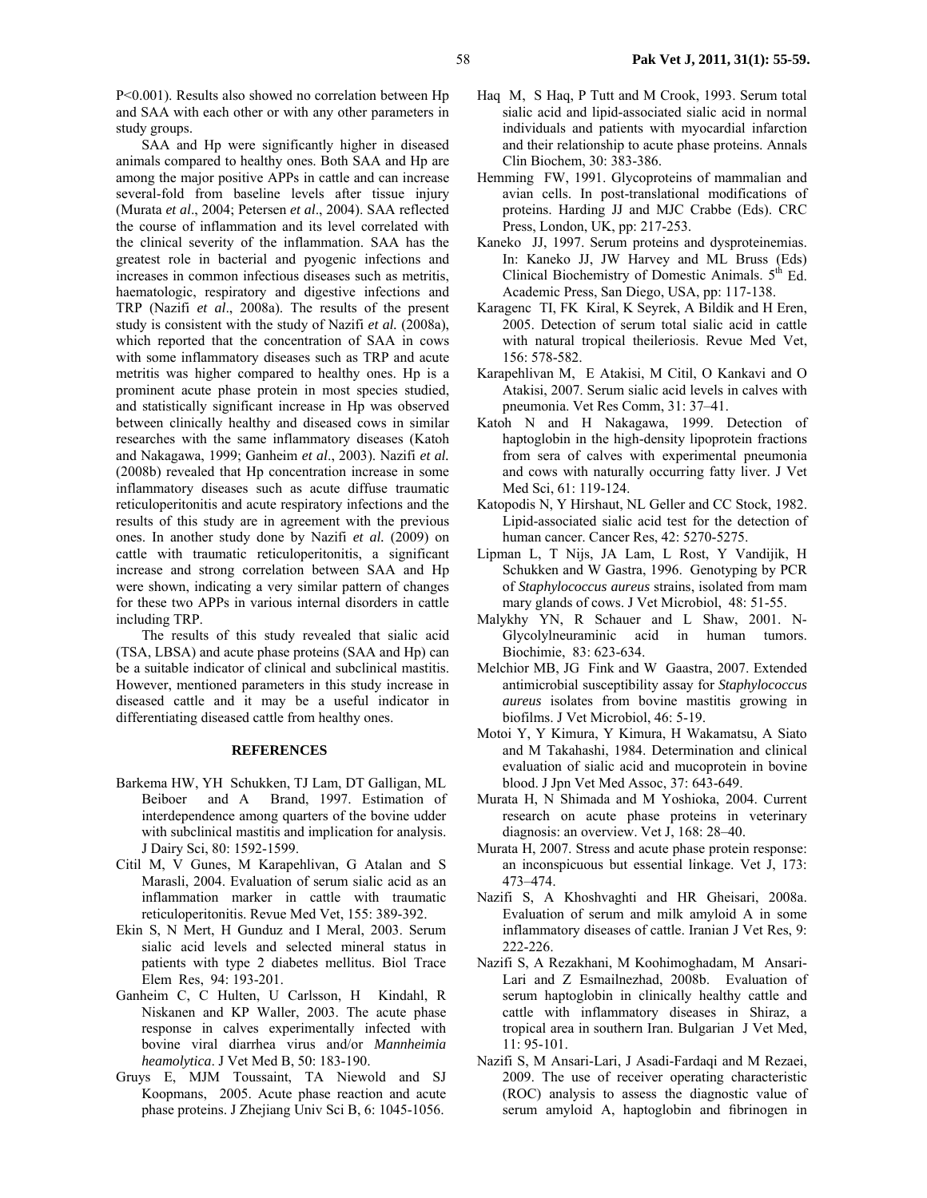P<0.001). Results also showed no correlation between Hp and SAA with each other or with any other parameters in study groups.

SAA and Hp were significantly higher in diseased animals compared to healthy ones. Both SAA and Hp are among the major positive APPs in cattle and can increase several-fold from baseline levels after tissue injury (Murata *et al*., 2004; Petersen *et al*., 2004). SAA reflected the course of inflammation and its level correlated with the clinical severity of the inflammation. SAA has the greatest role in bacterial and pyogenic infections and increases in common infectious diseases such as metritis, haematologic, respiratory and digestive infections and TRP (Nazifi *et al*., 2008a). The results of the present study is consistent with the study of Nazifi *et al.* (2008a), which reported that the concentration of SAA in cows with some inflammatory diseases such as TRP and acute metritis was higher compared to healthy ones. Hp is a prominent acute phase protein in most species studied, and statistically significant increase in Hp was observed between clinically healthy and diseased cows in similar researches with the same inflammatory diseases (Katoh and Nakagawa, 1999; Ganheim *et al*., 2003). Nazifi *et al.* (2008b) revealed that Hp concentration increase in some inflammatory diseases such as acute diffuse traumatic reticuloperitonitis and acute respiratory infections and the results of this study are in agreement with the previous ones. In another study done by Nazifi *et al.* (2009) on cattle with traumatic reticuloperitonitis, a significant increase and strong correlation between SAA and Hp were shown, indicating a very similar pattern of changes for these two APPs in various internal disorders in cattle including TRP.

The results of this study revealed that sialic acid (TSA, LBSA) and acute phase proteins (SAA and Hp) can be a suitable indicator of clinical and subclinical mastitis. However, mentioned parameters in this study increase in diseased cattle and it may be a useful indicator in differentiating diseased cattle from healthy ones.

### **REFERENCES**

- Barkema HW, YH Schukken, TJ Lam, DT Galligan, ML Beiboer and A Brand, 1997. Estimation of interdependence among quarters of the bovine udder with subclinical mastitis and implication for analysis. J Dairy Sci, 80: 1592-1599.
- Citil M, V Gunes, M Karapehlivan, G Atalan and S Marasli, 2004. Evaluation of serum sialic acid as an inflammation marker in cattle with traumatic reticuloperitonitis. Revue Med Vet, 155: 389-392.
- Ekin S, N Mert, H Gunduz and I Meral, 2003. Serum sialic acid levels and selected mineral status in patients with type 2 diabetes mellitus. Biol Trace Elem Res, 94: 193-201.
- Ganheim C, C Hulten, U Carlsson, H Kindahl, R Niskanen and KP Waller, 2003. The acute phase response in calves experimentally infected with bovine viral diarrhea virus and/or *Mannheimia heamolytica*. J Vet Med B, 50: 183-190.
- Gruys E, MJM Toussaint, TA Niewold and SJ Koopmans, 2005. Acute phase reaction and acute phase proteins. J Zhejiang Univ Sci B, 6: 1045-1056.
- Haq M, S Haq, P Tutt and M Crook, 1993. Serum total sialic acid and lipid-associated sialic acid in normal individuals and patients with myocardial infarction and their relationship to acute phase proteins. Annals Clin Biochem, 30: 383-386.
- Hemming FW, 1991. Glycoproteins of mammalian and avian cells. In post-translational modifications of proteins. Harding JJ and MJC Crabbe (Eds). CRC Press, London, UK, pp: 217-253.
- Kaneko JJ, 1997. Serum proteins and dysproteinemias. In: Kaneko JJ, JW Harvey and ML Bruss (Eds) Clinical Biochemistry of Domestic Animals.  $5<sup>th</sup>$  Ed. Academic Press, San Diego, USA, pp: 117-138.
- Karagenc TI, FK Kiral, K Seyrek, A Bildik and H Eren, 2005. Detection of serum total sialic acid in cattle with natural tropical theileriosis. Revue Med Vet, 156: 578-582.
- Karapehlivan M, E Atakisi, M Citil, O Kankavi and O Atakisi, 2007. Serum sialic acid levels in calves with pneumonia. Vet Res Comm, 31: 37–41.
- Katoh N and H Nakagawa, 1999. Detection of haptoglobin in the high-density lipoprotein fractions from sera of calves with experimental pneumonia and cows with naturally occurring fatty liver. J Vet Med Sci, 61: 119-124.
- Katopodis N, Y Hirshaut, NL Geller and CC Stock, 1982. Lipid-associated sialic acid test for the detection of human cancer. Cancer Res, 42: 5270-5275.
- Lipman L, T Nijs, JA Lam, L Rost, Y Vandijik, H Schukken and W Gastra, 1996. Genotyping by PCR of *Staphylococcus aureus* strains, isolated from mam mary glands of cows. J Vet Microbiol, 48: 51-55.
- Malykhy YN, R Schauer and L Shaw, 2001. N-Glycolylneuraminic acid in human tumors. Biochimie,83: 623-634.
- Melchior MB, JG Fink and W Gaastra, 2007. Extended antimicrobial susceptibility assay for *Staphylococcus aureus* isolates from bovine mastitis growing in biofilms. J Vet Microbiol, 46: 5-19.
- Motoi Y, Y Kimura, Y Kimura, H Wakamatsu, A Siato and M Takahashi, 1984. Determination and clinical evaluation of sialic acid and mucoprotein in bovine blood. J Jpn Vet Med Assoc, 37: 643-649.
- Murata H, N Shimada and M Yoshioka, 2004. Current research on acute phase proteins in veterinary diagnosis: an overview. Vet J, 168: 28–40.
- Murata H, 2007. Stress and acute phase protein response: an inconspicuous but essential linkage. Vet J, 173: 473–474.
- Nazifi S, A Khoshvaghti and HR Gheisari, 2008a. Evaluation of serum and milk amyloid A in some inflammatory diseases of cattle. Iranian J Vet Res, 9: 222-226.
- Nazifi S, A Rezakhani, M Koohimoghadam, M Ansari-Lari and Z Esmailnezhad, 2008b. Evaluation of serum haptoglobin in clinically healthy cattle and cattle with inflammatory diseases in Shiraz, a tropical area in southern Iran. Bulgarian J Vet Med, 11: 95-101.
- Nazifi S, M Ansari-Lari, J Asadi-Fardaqi and M Rezaei, 2009. The use of receiver operating characteristic (ROC) analysis to assess the diagnostic value of serum amyloid A, haptoglobin and fibrinogen in